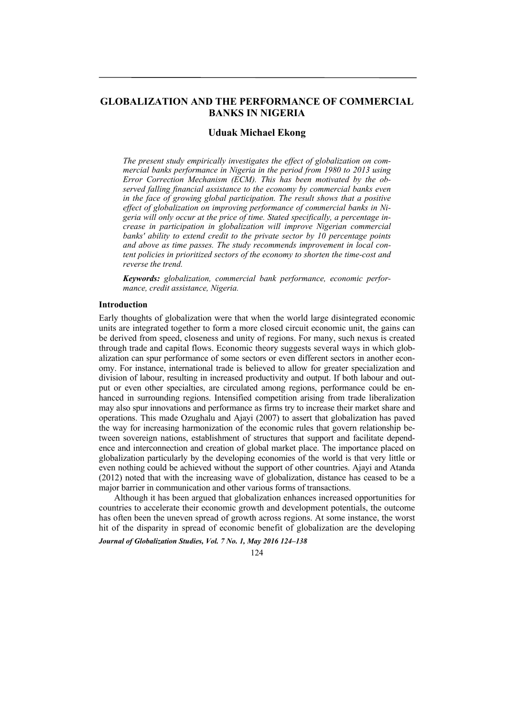# **GLOBALIZATION AND THE PERFORMANCE OF COMMERCIAL BANKS IN NIGERIA**

# **Uduak Michael Ekong**

*The present study empirically investigates the effect of globalization on commercial banks performance in Nigeria in the period from 1980 to 2013 using Error Correction Mechanism (ECM). This has been motivated by the observed falling financial assistance to the economy by commercial banks even in the face of growing global participation. The result shows that a positive effect of globalization on improving performance of commercial banks in Nigeria will only occur at the price of time. Stated specifically, a percentage increase in participation in globalization will improve Nigerian commercial banks' ability to extend credit to the private sector by 10 percentage points and above as time passes. The study recommends improvement in local content policies in prioritized sectors of the economy to shorten the time-cost and reverse the trend.* 

*Keywords: globalization, commercial bank performance, economic performance, credit assistance, Nigeria.* 

#### **Introduction**

Early thoughts of globalization were that when the world large disintegrated economic units are integrated together to form a more closed circuit economic unit, the gains can be derived from speed, closeness and unity of regions. For many, such nexus is created through trade and capital flows. Economic theory suggests several ways in which globalization can spur performance of some sectors or even different sectors in another economy. For instance, international trade is believed to allow for greater specialization and division of labour, resulting in increased productivity and output. If both labour and output or even other specialties, are circulated among regions, performance could be enhanced in surrounding regions. Intensified competition arising from trade liberalization may also spur innovations and performance as firms try to increase their market share and operations. This made Ozughalu and Ajayi (2007) to assert that globalization has paved the way for increasing harmonization of the economic rules that govern relationship between sovereign nations, establishment of structures that support and facilitate dependence and interconnection and creation of global market place. The importance placed on globalization particularly by the developing economies of the world is that very little or even nothing could be achieved without the support of other countries. Ajayi and Atanda (2012) noted that with the increasing wave of globalization, distance has ceased to be a major barrier in communication and other various forms of transactions.

Although it has been argued that globalization enhances increased opportunities for countries to accelerate their economic growth and development potentials, the outcome has often been the uneven spread of growth across regions. At some instance, the worst hit of the disparity in spread of economic benefit of globalization are the developing

*Journal of Globalization Studies, Vol. 7 No. 1, May 2016 124–138* 

124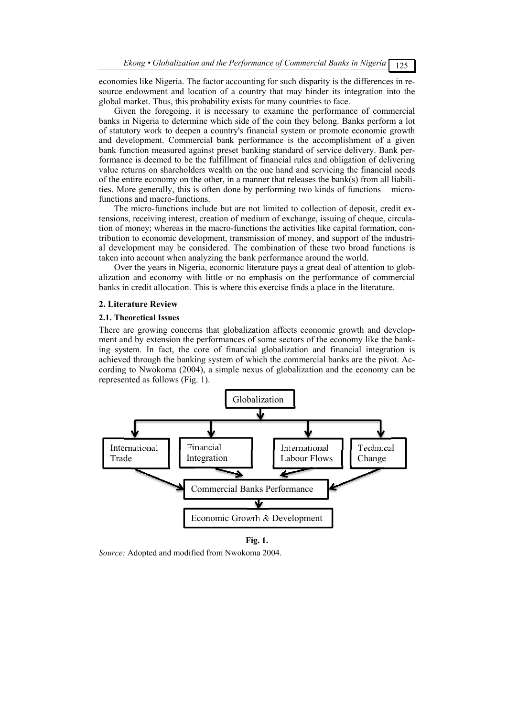economies like Nigeria. The factor accounting for such disparity is the differences in resource endowment and location of a country that may hinder its integration into the global market. Thus, this probability exists for many countries to face.

Given the foregoing, it is necessary to examine the performance of commercial banks in Nigeria to determine which side of the coin they belong. Banks perform a lot of statutory work to deepen a country's financial system or promote economic growth and development. Commercial bank performance is the accomplishment of a given bank function measured against preset banking standard of service delivery. Bank performance is deemed to be the fulfillment of financial rules and obligation of delivering value returns on shareholders wealth on the one hand and servicing the financial needs of the entire economy on the other, in a manner that releases the bank(s) from all liabilities. More generally, this is often done by performing two kinds of functions – microfunctions and macro-functions.

The micro-functions include but are not limited to collection of deposit, credit extensions, receiving interest, creation of medium of exchange, issuing of cheque, circulation of money; whereas in the macro-functions the activities like capital formation, contribution to economic development, transmission of money, and support of the industrial development may be considered. The combination of these two broad functions is taken into account when analyzing the bank performance around the world.

Over the years in Nigeria, economic literature pays a great deal of attention to globalization and economy with little or no emphasis on the performance of commercial banks in credit allocation. This is where this exercise finds a place in the literature.

### **2. Literature Review**

#### **2.1. Theoretical Issues**

There are growing concerns that globalization affects economic growth and development and by extension the performances of some sectors of the economy like the banking system. In fact, the core of financial globalization and financial integration is achieved through the banking system of which the commercial banks are the pivot. According to Nwokoma (2004), a simple nexus of globalization and the economy can be represented as follows (Fig. 1).



**Fig. 1.**

*Source:* Adopted and modified from Nwokoma 2004.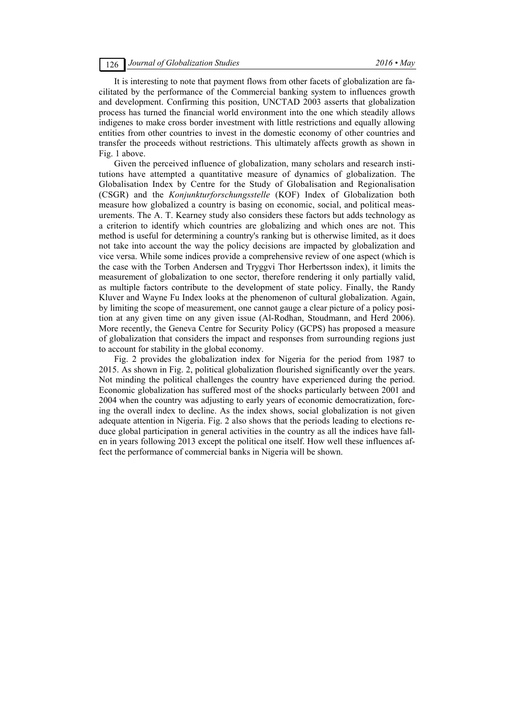It is interesting to note that payment flows from other facets of globalization are facilitated by the performance of the Commercial banking system to influences growth and development. Confirming this position, UNCTAD 2003 asserts that globalization process has turned the financial world environment into the one which steadily allows indigenes to make cross border investment with little restrictions and equally allowing entities from other countries to invest in the domestic economy of other countries and transfer the proceeds without restrictions. This ultimately affects growth as shown in Fig. 1 above.

Given the perceived influence of globalization, many scholars and research institutions have attempted a quantitative measure of dynamics of globalization. The Globalisation Index by Centre for the Study of Globalisation and Regionalisation (CSGR) and the *Konjunkturforschungsstelle* (KOF) Index of Globalization both measure how globalized a country is basing on economic, social, and political measurements. The A. T. Kearney study also considers these factors but adds technology as a criterion to identify which countries are globalizing and which ones are not. This method is useful for determining a country's ranking but is otherwise limited, as it does not take into account the way the policy decisions are impacted by globalization and vice versa. While some indices provide a comprehensive review of one aspect (which is the case with the Torben Andersen and Tryggvi Thor Herbertsson index), it limits the measurement of globalization to one sector, therefore rendering it only partially valid, as multiple factors contribute to the development of state policy. Finally, the Randy Kluver and Wayne Fu Index looks at the phenomenon of cultural globalization. Again, by limiting the scope of measurement, one cannot gauge a clear picture of a policy position at any given time on any given issue (Al-Rodhan, Stoudmann, and Herd 2006). More recently, the Geneva Centre for Security Policy (GCPS) has proposed a measure of globalization that considers the impact and responses from surrounding regions just to account for stability in the global economy.

Fig. 2 provides the globalization index for Nigeria for the period from 1987 to 2015. As shown in Fig. 2, political globalization flourished significantly over the years. Not minding the political challenges the country have experienced during the period. Economic globalization has suffered most of the shocks particularly between 2001 and 2004 when the country was adjusting to early years of economic democratization, forcing the overall index to decline. As the index shows, social globalization is not given adequate attention in Nigeria. Fig. 2 also shows that the periods leading to elections reduce global participation in general activities in the country as all the indices have fallen in years following 2013 except the political one itself. How well these influences affect the performance of commercial banks in Nigeria will be shown.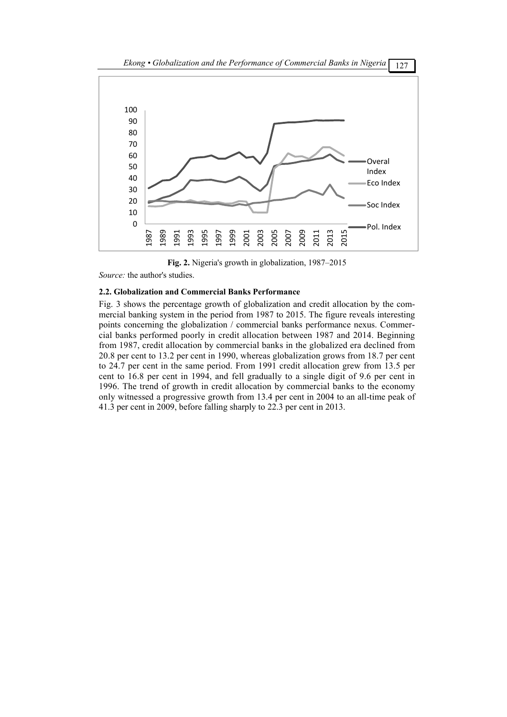

**Fig. 2.** Nigeria's growth in globalization, 1987–2015

*Source:* the author's studies.

# **2.2. Globalization and Commercial Banks Performance**

Fig. 3 shows the percentage growth of globalization and credit allocation by the commercial banking system in the period from 1987 to 2015. The figure reveals interesting points concerning the globalization / commercial banks performance nexus. Commercial banks performed poorly in credit allocation between 1987 and 2014. Beginning from 1987, credit allocation by commercial banks in the globalized era declined from 20.8 per cent to 13.2 per cent in 1990, whereas globalization grows from 18.7 per cent to 24.7 per cent in the same period. From 1991 credit allocation grew from 13.5 per cent to 16.8 per cent in 1994, and fell gradually to a single digit of 9.6 per cent in 1996. The trend of growth in credit allocation by commercial banks to the economy only witnessed a progressive growth from 13.4 per cent in 2004 to an all-time peak of 41.3 per cent in 2009, before falling sharply to 22.3 per cent in 2013.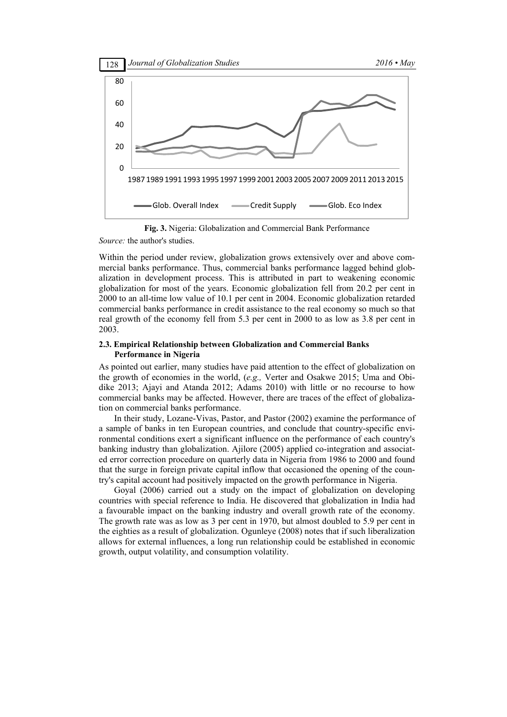

**Fig. 3.** Nigeria: Globalization and Commercial Bank Performance *Source:* the author's studies.

Within the period under review, globalization grows extensively over and above commercial banks performance. Thus, commercial banks performance lagged behind globalization in development process. This is attributed in part to weakening economic globalization for most of the years. Economic globalization fell from 20.2 per cent in 2000 to an all-time low value of 10.1 per cent in 2004. Economic globalization retarded commercial banks performance in credit assistance to the real economy so much so that real growth of the economy fell from 5.3 per cent in 2000 to as low as 3.8 per cent in 2003.

# **2.3. Empirical Relationship between Globalization and Commercial Banks Performance in Nigeria**

As pointed out earlier, many studies have paid attention to the effect of globalization on the growth of economies in the world, (*e.g.,* Verter and Osakwe 2015; Uma and Obidike 2013; Ajayi and Atanda 2012; Adams 2010) with little or no recourse to how commercial banks may be affected. However, there are traces of the effect of globalization on commercial banks performance.

In their study, Lozane-Vivas, Pastor, and Pastor (2002) examine the performance of a sample of banks in ten European countries, and conclude that country-specific environmental conditions exert a significant influence on the performance of each country's banking industry than globalization. Ajilore (2005) applied co-integration and associated error correction procedure on quarterly data in Nigeria from 1986 to 2000 and found that the surge in foreign private capital inflow that occasioned the opening of the country's capital account had positively impacted on the growth performance in Nigeria.

Goyal (2006) carried out a study on the impact of globalization on developing countries with special reference to India. He discovered that globalization in India had a favourable impact on the banking industry and overall growth rate of the economy. The growth rate was as low as 3 per cent in 1970, but almost doubled to 5.9 per cent in the eighties as a result of globalization. Ogunleye (2008) notes that if such liberalization allows for external influences, a long run relationship could be established in economic growth, output volatility, and consumption volatility.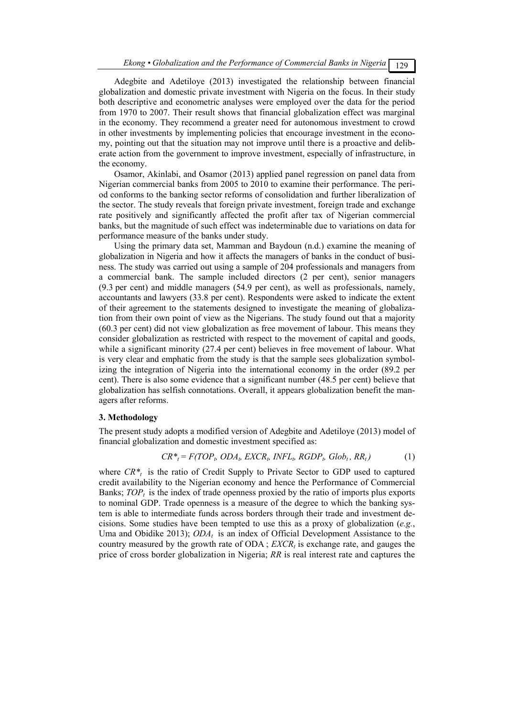Adegbite and Adetiloye (2013) investigated the relationship between financial globalization and domestic private investment with Nigeria on the focus. In their study both descriptive and econometric analyses were employed over the data for the period from 1970 to 2007. Their result shows that financial globalization effect was marginal in the economy. They recommend a greater need for autonomous investment to crowd in other investments by implementing policies that encourage investment in the economy, pointing out that the situation may not improve until there is a proactive and deliberate action from the government to improve investment, especially of infrastructure, in the economy.

Osamor, Akinlabi, and Osamor (2013) applied panel regression on panel data from Nigerian commercial banks from 2005 to 2010 to examine their performance. The period conforms to the banking sector reforms of consolidation and further liberalization of the sector. The study reveals that foreign private investment, foreign trade and exchange rate positively and significantly affected the profit after tax of Nigerian commercial banks, but the magnitude of such effect was indeterminable due to variations on data for performance measure of the banks under study.

Using the primary data set, Mamman and Baydoun (n.d.) examine the meaning of globalization in Nigeria and how it affects the managers of banks in the conduct of business. The study was carried out using a sample of 204 professionals and managers from a commercial bank. The sample included directors (2 per cent), senior managers (9.3 per cent) and middle managers (54.9 per cent), as well as professionals, namely, accountants and lawyers (33.8 per cent). Respondents were asked to indicate the extent of their agreement to the statements designed to investigate the meaning of globalization from their own point of view as the Nigerians. The study found out that a majority (60.3 per cent) did not view globalization as free movement of labour. This means they consider globalization as restricted with respect to the movement of capital and goods, while a significant minority (27.4 per cent) believes in free movement of labour. What is very clear and emphatic from the study is that the sample sees globalization symbolizing the integration of Nigeria into the international economy in the order (89.2 per cent). There is also some evidence that a significant number (48.5 per cent) believe that globalization has selfish connotations. Overall, it appears globalization benefit the managers after reforms.

#### **3. Methodology**

The present study adopts a modified version of Adegbite and Adetiloye (2013) model of financial globalization and domestic investment specified as:

$$
CR^*_{t} = F(TOP_t, ODA_t, EXCR_t, INFL_t, RGBP_t, Glob_t, RR_t)
$$
 (1)

where  $CR^*$  is the ratio of Credit Supply to Private Sector to GDP used to captured credit availability to the Nigerian economy and hence the Performance of Commercial Banks;  $TOP<sub>t</sub>$  is the index of trade openness proxied by the ratio of imports plus exports to nominal GDP. Trade openness is a measure of the degree to which the banking system is able to intermediate funds across borders through their trade and investment decisions. Some studies have been tempted to use this as a proxy of globalization (*e.g.*, Uma and Obidike 2013);  $ODA_t$  is an index of Official Development Assistance to the country measured by the growth rate of  $ODA$ ;  $EXCR<sub>t</sub>$  is exchange rate, and gauges the price of cross border globalization in Nigeria; *RR* is real interest rate and captures the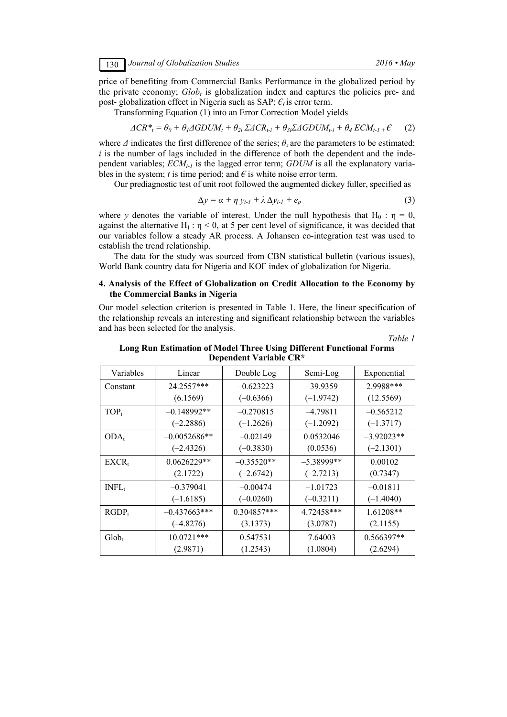price of benefiting from Commercial Banks Performance in the globalized period by the private economy;  $Glob_t$  is globalization index and captures the policies pre- and post- globalization effect in Nigeria such as SAP;  $\epsilon_i$  is error term.

Transforming Equation (1) into an Error Correction Model yields

$$
\Delta CR^*_{t} = \theta_0 + \theta_1 \Delta GDUM_t + \theta_{2i} \Sigma \Delta CR_{t-i} + \theta_{3i} \Sigma \Delta GDUM_{t-i} + \theta_4 ECM_{t-1} + \mathcal{E}
$$
 (2)

where  $\Delta$  indicates the first difference of the series;  $\theta$ <sub>*s*</sub> are the parameters to be estimated; *i* is the number of lags included in the difference of both the dependent and the independent variables;  $\overline{ECM}_{t-1}$  is the lagged error term;  $GDUM$  is all the explanatory variables in the system; *t* is time period; and  $\epsilon$  is white noise error term.

Our prediagnostic test of unit root followed the augmented dickey fuller, specified as

$$
\Delta y = \alpha + \eta y_{t-l} + \lambda \Delta y_{t-l} + e_p \tag{3}
$$

where *y* denotes the variable of interest. Under the null hypothesis that H<sub>0</sub> :  $\eta = 0$ , against the alternative H<sub>1</sub> :  $\eta$  < 0, at 5 per cent level of significance, it was decided that our variables follow a steady AR process. A Johansen co-integration test was used to establish the trend relationship.

The data for the study was sourced from CBN statistical bulletin (various issues), World Bank country data for Nigeria and KOF index of globalization for Nigeria.

# **4. Analysis of the Effect of Globalization on Credit Allocation to the Economy by the Commercial Banks in Nigeria**

Our model selection criterion is presented in Table 1. Here, the linear specification of the relationship reveals an interesting and significant relationship between the variables and has been selected for the analysis.

*Table 1* 

### **Long Run Estimation of Model Three Using Different Functional Forms Dependent Variable CR\***

| Variables         | Linear         | Double Log   | Semi-Log      | Exponential  |
|-------------------|----------------|--------------|---------------|--------------|
| Constant          | 24.2557***     | $-0.623223$  | $-39.9359$    | 2.9988***    |
|                   | (6.1569)       | $(-0.6366)$  | $(-1.9742)$   | (12.5569)    |
| $TOP_t$           | $-0.148992**$  | $-0.270815$  | $-4.79811$    | $-0.565212$  |
|                   | $(-2.2886)$    | $(-1.2626)$  | $(-1.2092)$   | $(-1.3717)$  |
| $ODA_t$           | $-0.0052686**$ | $-0.02149$   | 0.0532046     | $-3.92023**$ |
|                   | $(-2.4326)$    | $(-0.3830)$  | (0.0536)      | $(-2.1301)$  |
| $EXCR_{t}$        | $0.0626229**$  | $-0.35520**$ | $-5.38999$ ** | 0.00102      |
|                   | (2.1722)       | $(-2.6742)$  | $(-2.7213)$   | (0.7347)     |
| INFL <sub>t</sub> | $-0.379041$    | $-0.00474$   | $-1.01723$    | $-0.01811$   |
|                   | $(-1.6185)$    | $(-0.0260)$  | $(-0.3211)$   | $(-1.4040)$  |
| $RGDP_t$          | $-0.437663***$ | 0.304857***  | 4.72458***    | 1.61208**    |
|                   | $(-4.8276)$    | (3.1373)     | (3.0787)      | (2.1155)     |
| $Glob_{t}$        | $10.0721***$   | 0.547531     | 7.64003       | 0.566397**   |
|                   | (2.9871)       | (1.2543)     | (1.0804)      | (2.6294)     |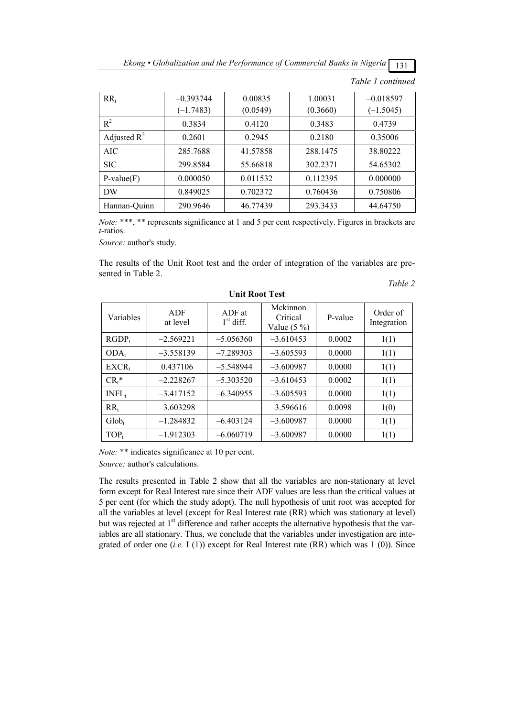*Ekong • Globalization and the Performance of Commercial Banks in Nigeria*  $\boxed{131}$ 

| $RR_{t}$       | $-0.393744$ | 0.00835  | 1.00031  | $-0.018597$ |
|----------------|-------------|----------|----------|-------------|
|                | $(-1.7483)$ | (0.0549) | (0.3660) | $(-1.5045)$ |
| $R^2$          | 0.3834      | 0.4120   | 0.3483   | 0.4739      |
| Adjusted $R^2$ | 0.2601      | 0.2945   | 0.2180   | 0.35006     |
| AIC            | 285.7688    | 41.57858 | 288.1475 | 38.80222    |
| <b>SIC</b>     | 299.8584    | 55.66818 | 302.2371 | 54.65302    |
| $P-value(F)$   | 0.000050    | 0.011532 | 0.112395 | 0.000000    |
| DW             | 0.849025    | 0.702372 | 0.760436 | 0.750806    |
| Hannan-Ouinn   | 290.9646    | 46.77439 | 293.3433 | 44.64750    |

*Table 1 continued* 

*Table 2* 

*Note:* \*\*\*, \*\* represents significance at 1 and 5 per cent respectively. Figures in brackets are *t*-ratios.

*Source:* author's study.

The results of the Unit Root test and the order of integration of the variables are presented in Table 2.

| Variables         | ADF<br>at level | ADF at<br>$1st$ diff. | Mckinnon<br>Critical<br>Value $(5 \%)$ | P-value | Order of<br>Integration |
|-------------------|-----------------|-----------------------|----------------------------------------|---------|-------------------------|
| $RGDP_t$          | $-2.569221$     | $-5.056360$           | $-3.610453$                            | 0.0002  | 1(1)                    |
| $ODA_t$           | $-3.558139$     | $-7.289303$           | $-3.605593$                            | 0.0000  | 1(1)                    |
| $EXCR_t$          | 0.437106        | $-5.548944$           | $-3.600987$                            | 0.0000  | 1(1)                    |
| $CR_t^*$          | $-2.228267$     | $-5.303520$           | $-3.610453$                            | 0.0002  | 1(1)                    |
| INFL <sub>t</sub> | $-3.417152$     | $-6.340955$           | $-3.605593$                            | 0.0000  | 1(1)                    |
| $RR_t$            | $-3.603298$     |                       | $-3.596616$                            | 0.0098  | 1(0)                    |
| $Glob_t$          | $-1.284832$     | $-6.403124$           | $-3.600987$                            | 0.0000  | 1(1)                    |
| $TOP_t$           | $-1.912303$     | $-6.060719$           | $-3.600987$                            | 0.0000  | 1(1)                    |

# **Unit Root Test**

*Note:* \*\* indicates significance at 10 per cent.

*Source:* author's calculations.

The results presented in Table 2 show that all the variables are non-stationary at level form except for Real Interest rate since their ADF values are less than the critical values at 5 per cent (for which the study adopt). The null hypothesis of unit root was accepted for all the variables at level (except for Real Interest rate (RR) which was stationary at level) but was rejected at  $1<sup>st</sup>$  difference and rather accepts the alternative hypothesis that the variables are all stationary. Thus, we conclude that the variables under investigation are integrated of order one (*i.e.* I (1)) except for Real Interest rate (RR) which was 1 (0)). Since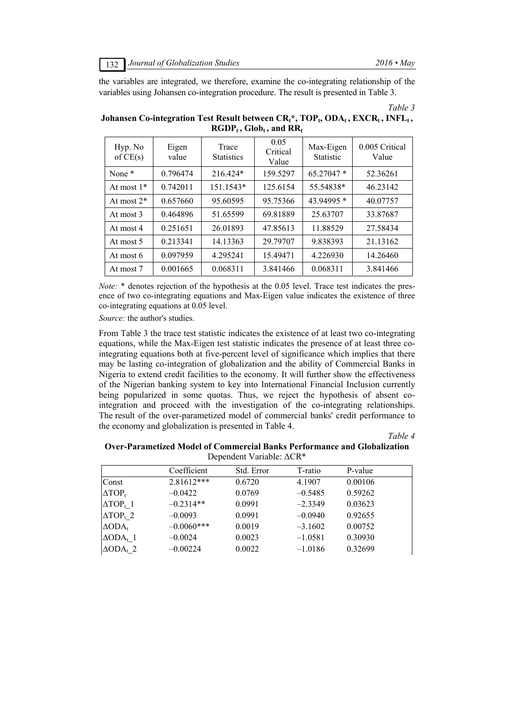the variables are integrated, we therefore, examine the co-integrating relationship of the variables using Johansen co-integration procedure. The result is presented in Table 3.

*Table 3* 

| Hyp. No<br>of $CE(s)$ | Eigen<br>value | Trace<br><b>Statistics</b> | 0.05<br>Critical<br>Value | Max-Eigen<br><b>Statistic</b> | 0.005 Critical<br>Value |
|-----------------------|----------------|----------------------------|---------------------------|-------------------------------|-------------------------|
| None <sup>*</sup>     | 0.796474       | 216.424*                   | 159.5297                  | 65.27047 *                    | 52.36261                |
| At most $1*$          | 0.742011       | $151.1543*$                | 125.6154                  | 55.54838*                     | 46.23142                |
| At most $2^*$         | 0.657660       | 95.60595                   | 95.75366                  | 43.94995 *                    | 40.07757                |
| At most 3             | 0.464896       | 51.65599                   | 69.81889                  | 25.63707                      | 33.87687                |
| At most 4             | 0.251651       | 26.01893                   | 47.85613                  | 11.88529                      | 27.58434                |
| At most 5             | 0.213341       | 14.13363                   | 29.79707                  | 9.838393                      | 21.13162                |
| At most 6             | 0.097959       | 4.295241                   | 15.49471                  | 4.226930                      | 14.26460                |
| At most 7             | 0.001665       | 0.068311                   | 3.841466                  | 0.068311                      | 3.841466                |

Johansen Co-integration Test Result between CR<sub>t</sub>\*, TOP<sub>t</sub>, ODA<sub>t</sub>, EXCR<sub>t</sub>, INFL<sub>t</sub>,  $RGDP_t$ ,  $Glob_t$ , and  $RR_t$ 

*Note:* \* denotes rejection of the hypothesis at the 0.05 level. Trace test indicates the presence of two co-integrating equations and Max-Eigen value indicates the existence of three co-integrating equations at 0.05 level.

*Source:* the author's studies.

From Table 3 the trace test statistic indicates the existence of at least two co-integrating equations, while the Max-Eigen test statistic indicates the presence of at least three cointegrating equations both at five-percent level of significance which implies that there may be lasting co-integration of globalization and the ability of Commercial Banks in Nigeria to extend credit facilities to the economy. It will further show the effectiveness of the Nigerian banking system to key into International Financial Inclusion currently being popularized in some quotas. Thus, we reject the hypothesis of absent cointegration and proceed with the investigation of the co-integrating relationships. The result of the over-parametized model of commercial banks' credit performance to the economy and globalization is presented in Table 4.

*Table 4* 

| Over-Parametized Model of Commercial Banks Performance and Globalization |
|--------------------------------------------------------------------------|
| Dependent Variable: $\Delta$ CR <sup>*</sup>                             |

|                     | Coefficient  | Std. Error | T-ratio   | P-value |  |
|---------------------|--------------|------------|-----------|---------|--|
| Const               | $2.81612***$ | 0.6720     | 4.1907    | 0.00106 |  |
| $\triangle TOP_t$   | $-0.0422$    | 0.0769     | $-0.5485$ | 0.59262 |  |
| $\triangle TOP_t$ 1 | $-0.2314**$  | 0.0991     | $-2.3349$ | 0.03623 |  |
| $\triangle TOP_t$ 2 | $-0.0093$    | 0.0991     | $-0.0940$ | 0.92655 |  |
| $\triangle ODA_t$   | $-0.0060***$ | 0.0019     | $-3.1602$ | 0.00752 |  |
| $\triangle ODA_t$ 1 | $-0.0024$    | 0.0023     | $-1.0581$ | 0.30930 |  |
| $\Delta ODA_t$ 2    | $-0.00224$   | 0.0022     | $-1.0186$ | 0.32699 |  |
|                     |              |            |           |         |  |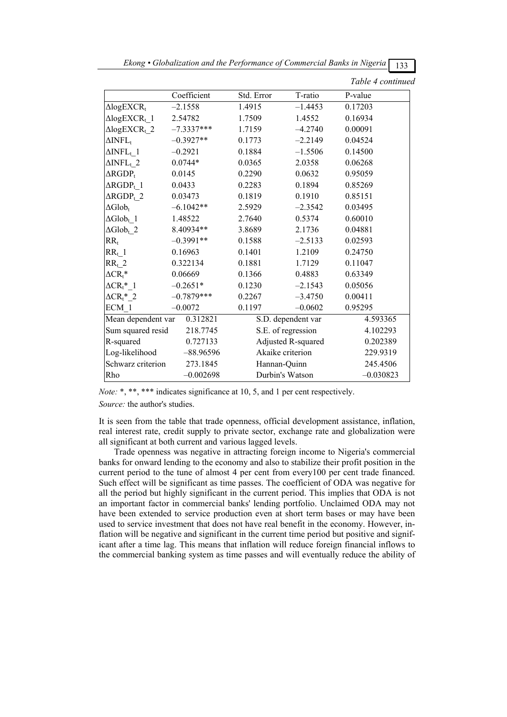|                                            |              |              |                    | 122               |
|--------------------------------------------|--------------|--------------|--------------------|-------------------|
|                                            |              |              |                    | Table 4 continued |
|                                            | Coefficient  | Std. Error   | T-ratio            | P-value           |
| $\triangle logEXCR_t$                      | $-2.1558$    | 1.4915       | $-1.4453$          | 0.17203           |
| $\triangle logEXCR_t$ 1                    | 2.54782      | 1.7509       | 1.4552             | 0.16934           |
| $\triangle logEXCR_{t}$ 2                  | $-7.3337***$ | 1.7159       | $-4.2740$          | 0.00091           |
| $\Delta$ INFL <sub>t</sub>                 | $-0.3927**$  | 0.1773       | $-2.2149$          | 0.04524           |
| $\Delta$ INFL <sub>t</sub> 1               | $-0.2921$    | 0.1884       | $-1.5506$          | 0.14500           |
| $\Delta$ INFL <sub>t</sub> 2               | $0.0744*$    | 0.0365       | 2.0358             | 0.06268           |
| $\Delta RGDP_t$                            | 0.0145       | 0.2290       | 0.0632             | 0.95059           |
| $\Delta RGDP_{L}1$                         | 0.0433       | 0.2283       | 0.1894             | 0.85269           |
| $\Delta \text{RGDP}_{t-}2$                 | 0.03473      | 0.1819       | 0.1910             | 0.85151           |
| $\Delta \text{Glob}_t$                     | $-6.1042**$  | 2.5929       | $-2.3542$          | 0.03495           |
| $\Delta \text{Glob}_{t-}1$                 | 1.48522      | 2.7640       | 0.5374             | 0.60010           |
| $\Delta \text{Glob}_{t_2}$                 | 8.40934**    | 3.8689       | 2.1736             | 0.04881           |
| $RR_t$                                     | $-0.3991**$  | 0.1588       | $-2.5133$          | 0.02593           |
| $RR_t$ 1                                   | 0.16963      | 0.1401       | 1.2109             | 0.24750           |
| $RR_t$ 2                                   | 0.322134     | 0.1881       | 1.7129             | 0.11047           |
| $\Delta$ CR <sub>t</sub> *                 | 0.06669      | 0.1366       | 0.4883             | 0.63349           |
| $\Delta$ CR <sub>t</sub> $^*$ <sup>1</sup> | $-0.2651*$   | 0.1230       | $-2.1543$          | 0.05056           |
| $\Delta$ CR <sub>t</sub> $^*$ _2           | $-0.7879***$ | 0.2267       | $-3.4750$          | 0.00411           |
| ECM 1                                      | $-0.0072$    | 0.1197       | $-0.0602$          | 0.95295           |
| Mean dependent var                         | 0.312821     |              | S.D. dependent var | 4.593365          |
| Sum squared resid                          | 218.7745     |              | S.E. of regression | 4.102293          |
| R-squared                                  | 0.727133     |              | Adjusted R-squared | 0.202389          |
| Log-likelihood                             | $-88.96596$  |              | Akaike criterion   | 229.9319          |
| Schwarz criterion                          | 273.1845     | Hannan-Quinn |                    | 245.4506          |
| Rho                                        | $-0.002698$  |              | Durbin's Watson    | $-0.030823$       |

*Ekong • Globalization and the Performance of Commercial Banks in Nigeria*  $\boxed{122}$ 

*Note:* \*, \*\*\*, \*\*\* indicates significance at 10, 5, and 1 per cent respectively.

*Source:* the author's studies.

It is seen from the table that trade openness, official development assistance, inflation, real interest rate, credit supply to private sector, exchange rate and globalization were all significant at both current and various lagged levels.

Trade openness was negative in attracting foreign income to Nigeria's commercial banks for onward lending to the economy and also to stabilize their profit position in the current period to the tune of almost 4 per cent from every100 per cent trade financed. Such effect will be significant as time passes. The coefficient of ODA was negative for all the period but highly significant in the current period. This implies that ODA is not an important factor in commercial banks' lending portfolio. Unclaimed ODA may not have been extended to service production even at short term bases or may have been used to service investment that does not have real benefit in the economy. However, inflation will be negative and significant in the current time period but positive and significant after a time lag. This means that inflation will reduce foreign financial inflows to the commercial banking system as time passes and will eventually reduce the ability of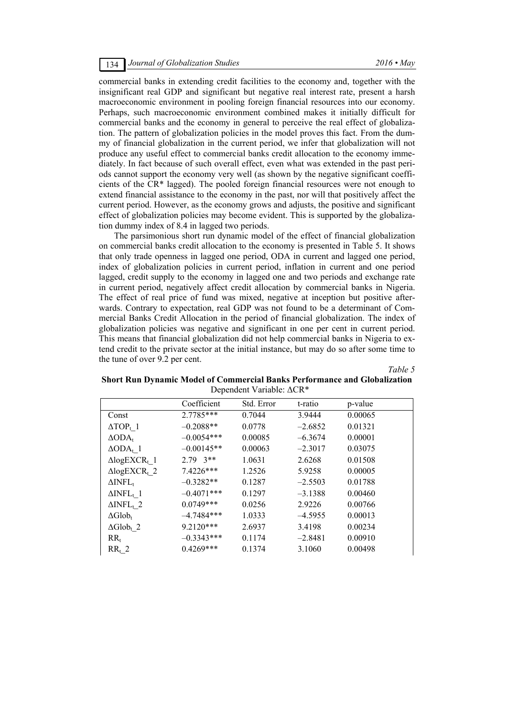commercial banks in extending credit facilities to the economy and, together with the insignificant real GDP and significant but negative real interest rate, present a harsh macroeconomic environment in pooling foreign financial resources into our economy. Perhaps, such macroeconomic environment combined makes it initially difficult for commercial banks and the economy in general to perceive the real effect of globalization. The pattern of globalization policies in the model proves this fact. From the dummy of financial globalization in the current period, we infer that globalization will not produce any useful effect to commercial banks credit allocation to the economy immediately. In fact because of such overall effect, even what was extended in the past periods cannot support the economy very well (as shown by the negative significant coefficients of the CR\* lagged). The pooled foreign financial resources were not enough to extend financial assistance to the economy in the past, nor will that positively affect the current period. However, as the economy grows and adjusts, the positive and significant effect of globalization policies may become evident. This is supported by the globalization dummy index of 8.4 in lagged two periods.

The parsimonious short run dynamic model of the effect of financial globalization on commercial banks credit allocation to the economy is presented in Table 5. It shows that only trade openness in lagged one period, ODA in current and lagged one period, index of globalization policies in current period, inflation in current and one period lagged, credit supply to the economy in lagged one and two periods and exchange rate in current period, negatively affect credit allocation by commercial banks in Nigeria. The effect of real price of fund was mixed, negative at inception but positive afterwards. Contrary to expectation, real GDP was not found to be a determinant of Commercial Banks Credit Allocation in the period of financial globalization. The index of globalization policies was negative and significant in one per cent in current period. This means that financial globalization did not help commercial banks in Nigeria to extend credit to the private sector at the initial instance, but may do so after some time to the tune of over 9.2 per cent.

*Table 5* 

| <b>Short Run Dynamic Model of Commercial Banks Performance and Globalization</b> |  |
|----------------------------------------------------------------------------------|--|
| Dependent Variable: $\Delta$ CR <sup>*</sup>                                     |  |

|                                    | Coefficient         | Std. Error | t-ratio   | p-value |
|------------------------------------|---------------------|------------|-----------|---------|
| Const                              | 2.7785***           | 0.7044     | 3.9444    | 0.00065 |
| $\triangle TOP_t$ 1                | $-0.2088**$         | 0.0778     | $-2.6852$ | 0.01321 |
| $\triangle ODA_t$                  | $-0.0054***$        | 0.00085    | $-6.3674$ | 0.00001 |
| $\triangle ODA_t$ 1                | $-0.00145**$        | 0.00063    | $-2.3017$ | 0.03075 |
| $\triangle$ logEXCR <sub>t</sub> 1 | $2.79 \text{ } 3**$ | 1.0631     | 2.6268    | 0.01508 |
| $\triangle$ logEXCR <sub>t</sub> 2 | 7.4226***           | 1.2526     | 5.9258    | 0.00005 |
| $\Delta$ INFL <sub>t</sub>         | $-0.3282**$         | 0.1287     | $-2.5503$ | 0.01788 |
| $\Delta$ INFL <sub>t</sub> 1       | $-0.4071***$        | 0.1297     | $-3.1388$ | 0.00460 |
| $\Delta$ INFL <sub>t</sub> 2       | $0.0749***$         | 0.0256     | 2.9226    | 0.00766 |
| $\Delta \text{Glob}_{t}$           | $-4.7484***$        | 1.0333     | $-4.5955$ | 0.00013 |
| $\Delta \text{Glob}_t$ 2           | 9.2120***           | 2.6937     | 3.4198    | 0.00234 |
| $RR_t$                             | $-0.3343***$        | 0.1174     | $-2.8481$ | 0.00910 |
| $RR_t$ 2                           | $0.4269***$         | 0.1374     | 3.1060    | 0.00498 |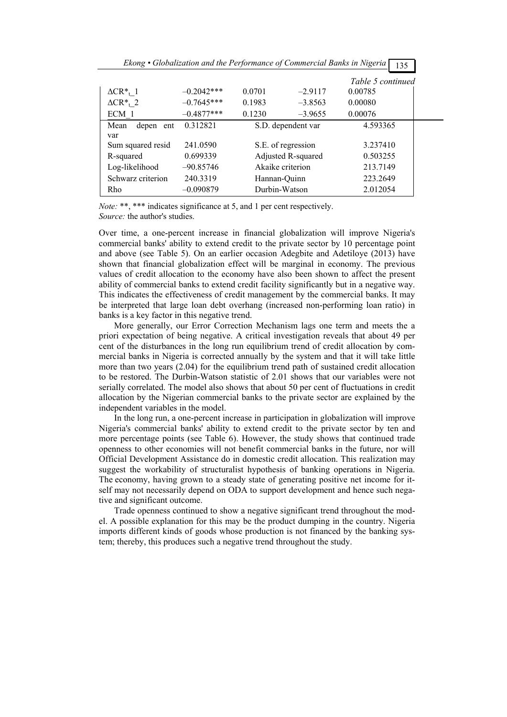|                                         | Ekong • Globalization and the Performance of Commercial Banks in Nigeria |               |                    | 135               |  |
|-----------------------------------------|--------------------------------------------------------------------------|---------------|--------------------|-------------------|--|
|                                         |                                                                          |               |                    | Table 5 continued |  |
| $\Delta$ CR <sup>*</sup> <sub>t</sub> 1 | $-0.2042***$                                                             | 0.0701        | $-2.9117$          | 0.00785           |  |
| $\Delta$ CR <sup>*</sup> <sub>t</sub> 2 | $-0.7645***$                                                             | 0.1983        | $-3.8563$          | 0.00080           |  |
| ECM 1                                   | $-0.4877***$                                                             | 0.1230        | $-3.9655$          | 0.00076           |  |
| depen ent<br>Mean                       | 0.312821                                                                 |               | S.D. dependent var | 4.593365          |  |
| var                                     |                                                                          |               |                    |                   |  |
| Sum squared resid                       | 241.0590                                                                 |               | S.E. of regression | 3.237410          |  |
| R-squared                               | 0.699339                                                                 |               | Adjusted R-squared | 0.503255          |  |
| Log-likelihood                          | $-90.85746$                                                              |               | Akaike criterion   | 213.7149          |  |
| Schwarz criterion                       | 240.3319                                                                 | Hannan-Quinn  |                    | 223.2649          |  |
| Rho                                     | $-0.090879$                                                              | Durbin-Watson |                    | 2.012054          |  |

*Note:* \*\*, \*\*\* indicates significance at 5, and 1 per cent respectively. *Source:* the author's studies.

Over time, a one-percent increase in financial globalization will improve Nigeria's commercial banks' ability to extend credit to the private sector by 10 percentage point and above (see Table 5). On an earlier occasion Adegbite and Adetiloye (2013) have shown that financial globalization effect will be marginal in economy. The previous values of credit allocation to the economy have also been shown to affect the present ability of commercial banks to extend credit facility significantly but in a negative way. This indicates the effectiveness of credit management by the commercial banks. It may be interpreted that large loan debt overhang (increased non-performing loan ratio) in banks is a key factor in this negative trend.

More generally, our Error Correction Mechanism lags one term and meets the a priori expectation of being negative. A critical investigation reveals that about 49 per cent of the disturbances in the long run equilibrium trend of credit allocation by commercial banks in Nigeria is corrected annually by the system and that it will take little more than two years (2.04) for the equilibrium trend path of sustained credit allocation to be restored. The Durbin-Watson statistic of 2.01 shows that our variables were not serially correlated. The model also shows that about 50 per cent of fluctuations in credit allocation by the Nigerian commercial banks to the private sector are explained by the independent variables in the model.

In the long run, a one-percent increase in participation in globalization will improve Nigeria's commercial banks' ability to extend credit to the private sector by ten and more percentage points (see Table 6). However, the study shows that continued trade openness to other economies will not benefit commercial banks in the future, nor will Official Development Assistance do in domestic credit allocation. This realization may suggest the workability of structuralist hypothesis of banking operations in Nigeria. The economy, having grown to a steady state of generating positive net income for itself may not necessarily depend on ODA to support development and hence such negative and significant outcome.

Trade openness continued to show a negative significant trend throughout the model. A possible explanation for this may be the product dumping in the country. Nigeria imports different kinds of goods whose production is not financed by the banking system; thereby, this produces such a negative trend throughout the study.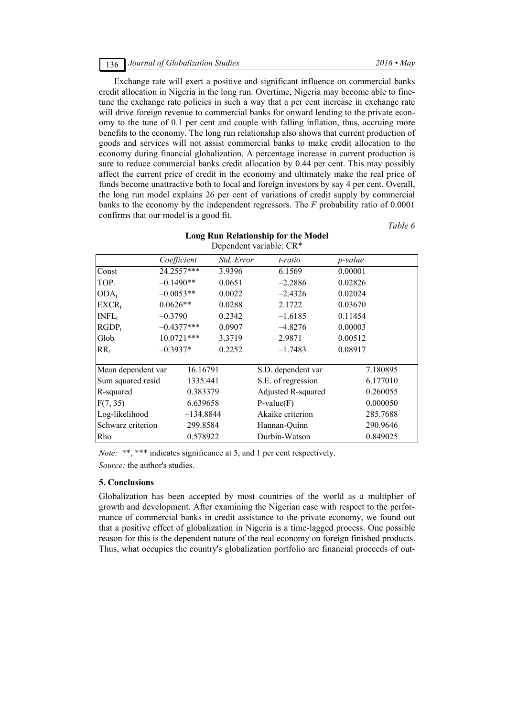Exchange rate will exert a positive and significant influence on commercial banks credit allocation in Nigeria in the long run. Overtime, Nigeria may become able to finetune the exchange rate policies in such a way that a per cent increase in exchange rate will drive foreign revenue to commercial banks for onward lending to the private economy to the tune of 0.1 per cent and couple with falling inflation, thus, accruing more benefits to the economy. The long run relationship also shows that current production of goods and services will not assist commercial banks to make credit allocation to the economy during financial globalization. A percentage increase in current production is sure to reduce commercial banks credit allocation by 0.44 per cent. This may possibly affect the current price of credit in the economy and ultimately make the real price of funds become unattractive both to local and foreign investors by say 4 per cent. Overall, the long run model explains 26 per cent of variations of credit supply by commercial banks to the economy by the independent regressors. The *F* probability ratio of 0.0001 confirms that our model is a good fit.

*Table 6* 

| Dependent variable: CR*        |              |                    |                    |                 |  |  |
|--------------------------------|--------------|--------------------|--------------------|-----------------|--|--|
|                                | Coefficient  | Std. Error         | t-ratio            | <i>p</i> -value |  |  |
| Const                          | 24.2557***   | 3.9396             | 6.1569             | 0.00001         |  |  |
| $TOP_t$                        | $-0.1490**$  | 0.0651             | $-2.2886$          | 0.02826         |  |  |
| $ODA_t$                        | $-0.0053**$  | 0.0022             | $-2.4326$          | 0.02024         |  |  |
| $EXCR_t$                       | $0.0626**$   | 0.0288             | 2.1722             | 0.03670         |  |  |
| INFL <sub>t</sub>              | $-0.3790$    | 0.2342             | $-1.6185$          | 0.11454         |  |  |
| $RGDP_t$                       | $-0.4377***$ | 0.0907             | $-4.8276$          | 0.00003         |  |  |
| $Glob_{t}$                     | 10.0721 ***  | 3.3719             | 2.9871             | 0.00512         |  |  |
| $RR_{t}$                       | $-0.3937*$   | 0.2252             | $-1.7483$          | 0.08917         |  |  |
| Mean dependent var<br>16.16791 |              | S.D. dependent var | 7.180895           |                 |  |  |
| Sum squared resid              | 1335.441     |                    | S.E. of regression | 6.177010        |  |  |
| R-squared                      | 0.383379     |                    | Adjusted R-squared | 0.260055        |  |  |
| F(7, 35)                       | 6.639658     |                    | $P-value(F)$       | 0.000050        |  |  |
| Log-likelihood                 | $-134.8844$  |                    | Akaike criterion   | 285.7688        |  |  |
| Schwarz criterion              | 299.8584     |                    | Hannan-Quinn       | 290.9646        |  |  |
| Rho                            | 0.578922     |                    | Durbin-Watson      | 0.849025        |  |  |

**Long Run Relationship for the Model** 

*Note:* \*\*, \*\*\* indicates significance at 5, and 1 per cent respectively.

*Source:* the author's studies.

# **5. Conclusions**

Globalization has been accepted by most countries of the world as a multiplier of growth and development. After examining the Nigerian case with respect to the performance of commercial banks in credit assistance to the private economy, we found out that a positive effect of globalization in Nigeria is a time-lagged process. One possible reason for this is the dependent nature of the real economy on foreign finished products. Thus, what occupies the country's globalization portfolio are financial proceeds of out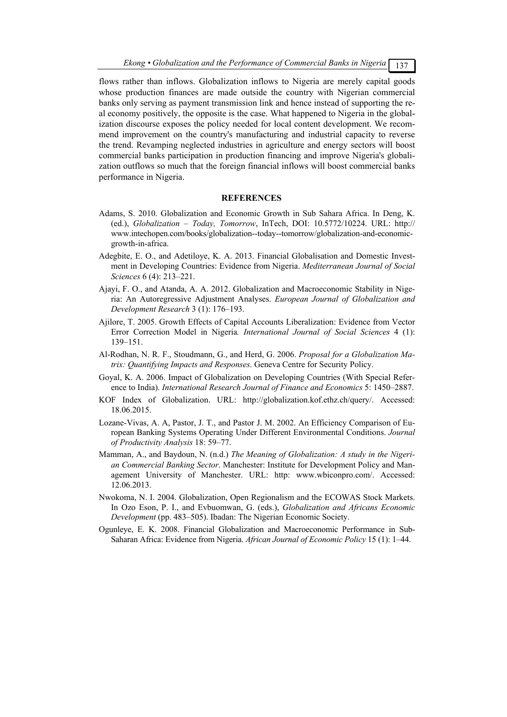flows rather than inflows. Globalization inflows to Nigeria are merely capital goods whose production finances are made outside the country with Nigerian commercial banks only serving as payment transmission link and hence instead of supporting the real economy positively, the opposite is the case. What happened to Nigeria in the globalization discourse exposes the policy needed for local content development. We recommend improvement on the country's manufacturing and industrial capacity to reverse the trend. Revamping neglected industries in agriculture and energy sectors will boost commercial banks participation in production financing and improve Nigeria's globalization outflows so much that the foreign financial inflows will boost commercial banks performance in Nigeria.

#### **REFERENCES**

- Adams, S. 2010. Globalization and Economic Growth in Sub Sahara Africa. In Deng, K. (ed.), *Globalization – Today, Tomorrow*, InTech, DOI: 10.5772/10224. URL: http:// www.intechopen.com/books/globalization--today--tomorrow/globalization-and-economicgrowth-in-africa.
- Adegbite, E. O., and Adetiloye, K. A. 2013. Financial Globalisation and Domestic Investment in Developing Countries: Evidence from Nigeria. *Mediterranean Journal of Social Sciences* 6 (4): 213–221.
- Ajayi, F. O., and Atanda, A. A. 2012. Globalization and Macroeconomic Stability in Nigeria: An Autoregressive Adjustment Analyses. *European Journal of Globalization and Development Research* 3 (1): 176–193.
- Ajilore, T. 2005. Growth Effects of Capital Accounts Liberalization: Evidence from Vector Error Correction Model in Nigeria*. International Journal of Social Sciences* 4 (1): 139–151.
- Al-Rodhan, N. R. F., Stoudmann, G., and Herd, G. 2006. *Proposal for a Globalization Matrix: Quantifying Impacts and Responses*. Geneva Centre for Security Policy.
- Goyal, K. A. 2006. Impact of Globalization on Developing Countries (With Special Reference to India). *International Research Journal of Finance and Economics* 5: 1450–2887.
- KOF Index of Globalization. URL: http://globalization.kof.ethz.ch/query/. Accessed: 18.06.2015.
- Lozane-Vivas, A. A, Pastor, J. T., and Pastor J. M. 2002. An Efficiency Comparison of European Banking Systems Operating Under Different Environmental Conditions. *Journal of Productivity Analysis* 18: 59–77.
- Mamman, A., and Baydoun, N. (n.d.) *The Meaning of Globalization: A study in the Nigerian Commercial Banking Sector*. Manchester: Institute for Development Policy and Management University of Manchester. URL: http: www.wbiconpro.com/. Accessed: 12.06.2013.
- Nwokoma, N. I. 2004. Globalization, Open Regionalism and the ECOWAS Stock Markets. In Ozo Eson, P. I., and Evbuomwan, G. (eds.), *Globalization and Africans Economic Development* (pp. 483–505). Ibadan: The Nigerian Economic Society.
- Ogunleye, E. K. 2008. Financial Globalization and Macroeconomic Performance in Sub-Saharan Africa: Evidence from Nigeria. *African Journal of Economic Policy* 15 (1): 1–44.